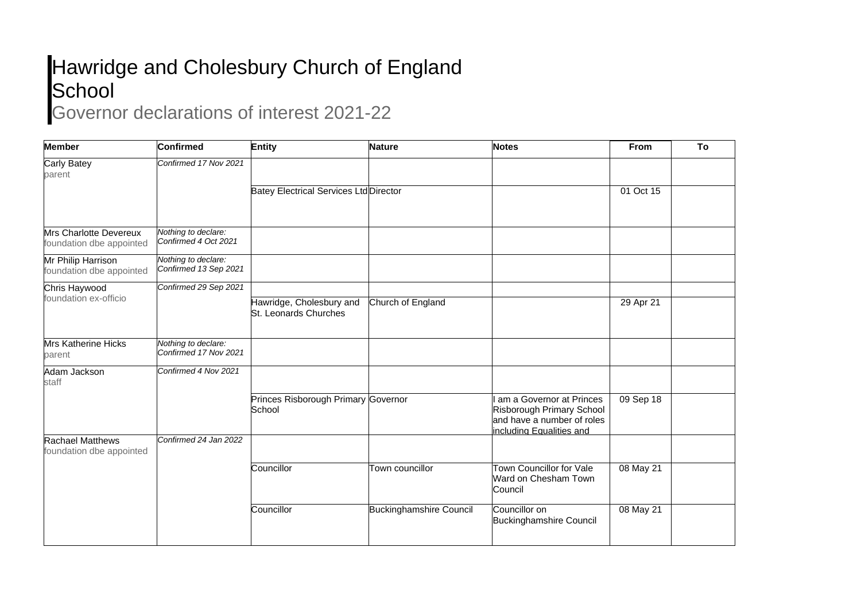## Hawridge and Cholesbury Church of England **School**

## Governor declarations of interest 2021-22

| <b>Member</b>                                             | <b>Confirmed</b>                             | Entity                                            | <b>Nature</b>                  | <b>Notes</b>                                                                                                    | <b>From</b> | To |
|-----------------------------------------------------------|----------------------------------------------|---------------------------------------------------|--------------------------------|-----------------------------------------------------------------------------------------------------------------|-------------|----|
| Carly Batey<br>parent                                     | Confirmed 17 Nov 2021                        |                                                   |                                |                                                                                                                 |             |    |
|                                                           |                                              | <b>Batey Electrical Services Ltd Director</b>     |                                |                                                                                                                 | 01 Oct 15   |    |
| <b>Mrs Charlotte Devereux</b><br>foundation dbe appointed | Nothing to declare:<br>Confirmed 4 Oct 2021  |                                                   |                                |                                                                                                                 |             |    |
| Mr Philip Harrison<br>foundation dbe appointed            | Nothing to declare:<br>Confirmed 13 Sep 2021 |                                                   |                                |                                                                                                                 |             |    |
| Chris Haywood<br>foundation ex-officio                    | Confirmed 29 Sep 2021                        |                                                   |                                |                                                                                                                 |             |    |
|                                                           |                                              | Hawridge, Cholesbury and<br>St. Leonards Churches | Church of England              |                                                                                                                 | 29 Apr 21   |    |
| <b>Mrs Katherine Hicks</b><br>parent                      | Nothing to declare:<br>Confirmed 17 Nov 2021 |                                                   |                                |                                                                                                                 |             |    |
| Adam Jackson<br>staff                                     | Confirmed 4 Nov 2021                         |                                                   |                                |                                                                                                                 |             |    |
|                                                           |                                              | Princes Risborough Primary Governor<br>School     |                                | am a Governor at Princes<br>Risborough Primary School<br>and have a number of roles<br>including Equalities and | 09 Sep 18   |    |
| <b>Rachael Matthews</b><br>foundation dbe appointed       | Confirmed 24 Jan 2022                        |                                                   |                                |                                                                                                                 |             |    |
|                                                           |                                              | Councillor                                        | Town councillor                | Town Councillor for Vale<br>Ward on Chesham Town<br>Council                                                     | 08 May 21   |    |
|                                                           |                                              | Councillor                                        | <b>Buckinghamshire Council</b> | Councillor on<br><b>Buckinghamshire Council</b>                                                                 | 08 May 21   |    |